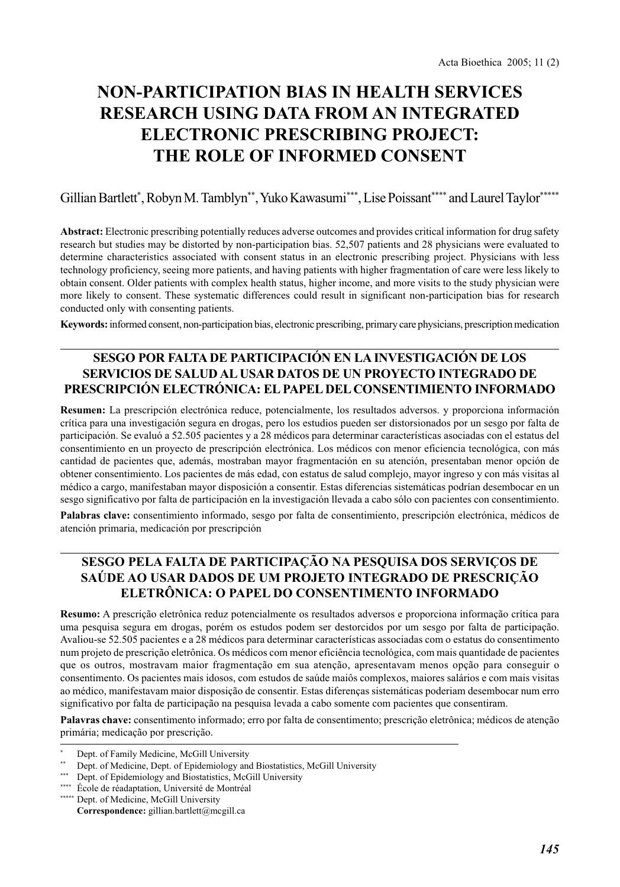# **NON-PARTICIPATION BIAS IN HEALTH SERVICES RESEARCH USING DATA FROM AN INTEGRATED ELECTRONIC PRESCRIBING PROJECT: THE ROLE OF INFORMED CONSENT**

Gillian Bartlett\* , Robyn M. Tamblyn\*\*, Yuko Kawasumi\*\*\*, Lise Poissant\*\*\*\* and Laurel Taylor\*\*\*\*\*

**Abstract:** Electronic prescribing potentially reduces adverse outcomes and provides critical information for drug safety research but studies may be distorted by non-participation bias. 52,507 patients and 28 physicians were evaluated to determine characteristics associated with consent status in an electronic prescribing project. Physicians with less technology proficiency, seeing more patients, and having patients with higher fragmentation of care were less likely to obtain consent. Older patients with complex health status, higher income, and more visits to the study physician were more likely to consent. These systematic differences could result in significant non-participation bias for research conducted only with consenting patients.

**Keywords:** informed consent, non-participation bias, electronic prescribing, primary care physicians, prescription medication

# **SESGO POR FALTA DE PARTICIPACIÓN EN LA INVESTIGACIÓN DE LOS SERVICIOS DE SALUD AL USAR DATOS DE UN PROYECTO INTEGRADO DE PRESCRIPCIÓN ELECTRÓNICA: EL PAPEL DEL CONSENTIMIENTO INFORMADO**

**Resumen:** La prescripción electrónica reduce, potencialmente, los resultados adversos. y proporciona información crítica para una investigación segura en drogas, pero los estudios pueden ser distorsionados por un sesgo por falta de participación. Se evaluó a 52.505 pacientes y a 28 médicos para determinar características asociadas con el estatus del consentimiento en un proyecto de prescripción electrónica. Los médicos con menor eficiencia tecnológica, con más cantidad de pacientes que, además, mostraban mayor fragmentación en su atención, presentaban menor opción de obtener consentimiento. Los pacientes de más edad, con estatus de salud complejo, mayor ingreso y con más visitas al médico a cargo, manifestaban mayor disposición a consentir. Estas diferencias sistemáticas podrían desembocar en un sesgo significativo por falta de participación en la investigación llevada a cabo sólo con pacientes con consentimiento.

**Palabras clave:** consentimiento informado, sesgo por falta de consentimiento, prescripción electrónica, médicos de atención primaria, medicación por prescripción

# **SESGO PELA FALTA DE PARTICIPAÇÃO NA PESQUISA DOS SERVIÇOS DE SAÚDE AO USAR DADOS DE UM PROJETO INTEGRADO DE PRESCRIÇÃO ELETRÔNICA: O PAPEL DO CONSENTIMENTO INFORMADO**

**Resumo:** A prescrição eletrônica reduz potencialmente os resultados adversos e proporciona informação crítica para uma pesquisa segura em drogas, porém os estudos podem ser destorcidos por um sesgo por falta de participação. Avaliou-se 52.505 pacientes e a 28 médicos para determinar características associadas com o estatus do consentimento num projeto de prescrição eletrônica. Os médicos com menor eficiência tecnológica, com mais quantidade de pacientes que os outros, mostravam maior fragmentação em sua atenção, apresentavam menos opção para conseguir o consentimento. Os pacientes mais idosos, com estudos de saúde maiôs complexos, maiores salários e com mais visitas ao médico, manifestavam maior disposição de consentir. Estas diferenças sistemáticas poderiam desembocar num erro significativo por falta de participação na pesquisa levada a cabo somente com pacientes que consentiram.

**Palavras chave:** consentimento informado; erro por falta de consentimento; prescrição eletrônica; médicos de atenção primária; medicação por prescrição.

Dept. of Family Medicine, McGill University

Dept. of Medicine, Dept. of Epidemiology and Biostatistics, McGill University

<sup>\*\*\*</sup> Dept. of Epidemiology and Biostatistics, McGill University

<sup>\*\*\*\*</sup> École de réadaptation, Université de Montréal

<sup>\*\*\*\*\*</sup> Dept. of Medicine, McGill University Correspondence: gillian.bartlett@mcgill.ca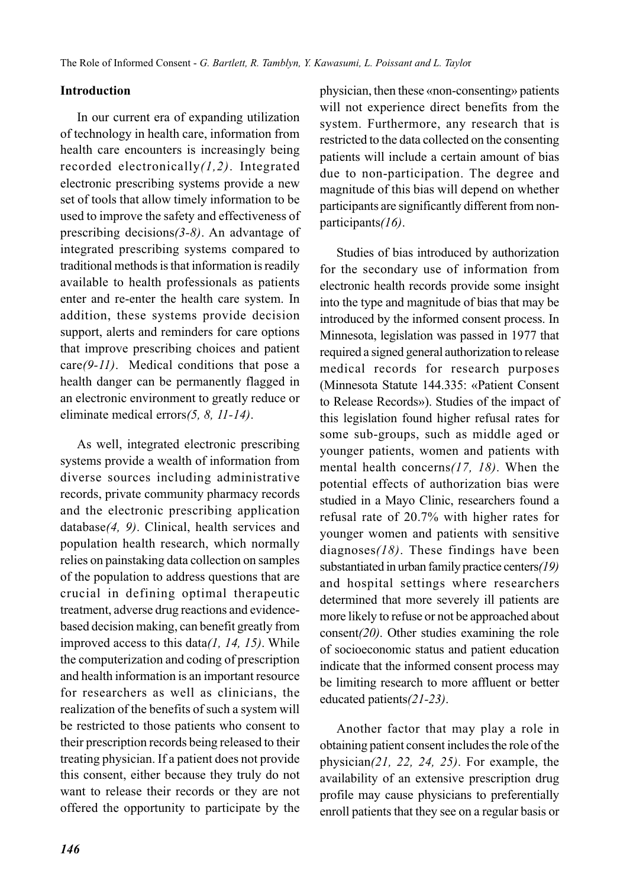## **Introduction**

In our current era of expanding utilization of technology in health care, information from health care encounters is increasingly being recorded electronically*(1,2)*. Integrated electronic prescribing systems provide a new set of tools that allow timely information to be used to improve the safety and effectiveness of prescribing decisions*(3-8)*. An advantage of integrated prescribing systems compared to traditional methods is that information is readily available to health professionals as patients enter and re-enter the health care system. In addition, these systems provide decision support, alerts and reminders for care options that improve prescribing choices and patient care*(9-11)*. Medical conditions that pose a health danger can be permanently flagged in an electronic environment to greatly reduce or eliminate medical errors*(5, 8, 11-14)*.

As well, integrated electronic prescribing systems provide a wealth of information from diverse sources including administrative records, private community pharmacy records and the electronic prescribing application database*(4, 9)*. Clinical, health services and population health research, which normally relies on painstaking data collection on samples of the population to address questions that are crucial in defining optimal therapeutic treatment, adverse drug reactions and evidencebased decision making, can benefit greatly from improved access to this data*(1, 14, 15)*. While the computerization and coding of prescription and health information is an important resource for researchers as well as clinicians, the realization of the benefits of such a system will be restricted to those patients who consent to their prescription records being released to their treating physician. If a patient does not provide this consent, either because they truly do not want to release their records or they are not offered the opportunity to participate by the physician, then these «non-consenting» patients will not experience direct benefits from the system. Furthermore, any research that is restricted to the data collected on the consenting patients will include a certain amount of bias due to non-participation. The degree and magnitude of this bias will depend on whether participants are significantly different from nonparticipants*(16)*.

Studies of bias introduced by authorization for the secondary use of information from electronic health records provide some insight into the type and magnitude of bias that may be introduced by the informed consent process. In Minnesota, legislation was passed in 1977 that required a signed general authorization to release medical records for research purposes (Minnesota Statute 144.335: «Patient Consent to Release Records»). Studies of the impact of this legislation found higher refusal rates for some sub-groups, such as middle aged or younger patients, women and patients with mental health concerns*(17, 18)*. When the potential effects of authorization bias were studied in a Mayo Clinic, researchers found a refusal rate of 20.7% with higher rates for younger women and patients with sensitive diagnoses*(18)*. These findings have been substantiated in urban family practice centers*(19)* and hospital settings where researchers determined that more severely ill patients are more likely to refuse or not be approached about consent*(20)*. Other studies examining the role of socioeconomic status and patient education indicate that the informed consent process may be limiting research to more affluent or better educated patients*(21-23)*.

Another factor that may play a role in obtaining patient consent includes the role of the physician*(21, 22, 24, 25)*. For example, the availability of an extensive prescription drug profile may cause physicians to preferentially enroll patients that they see on a regular basis or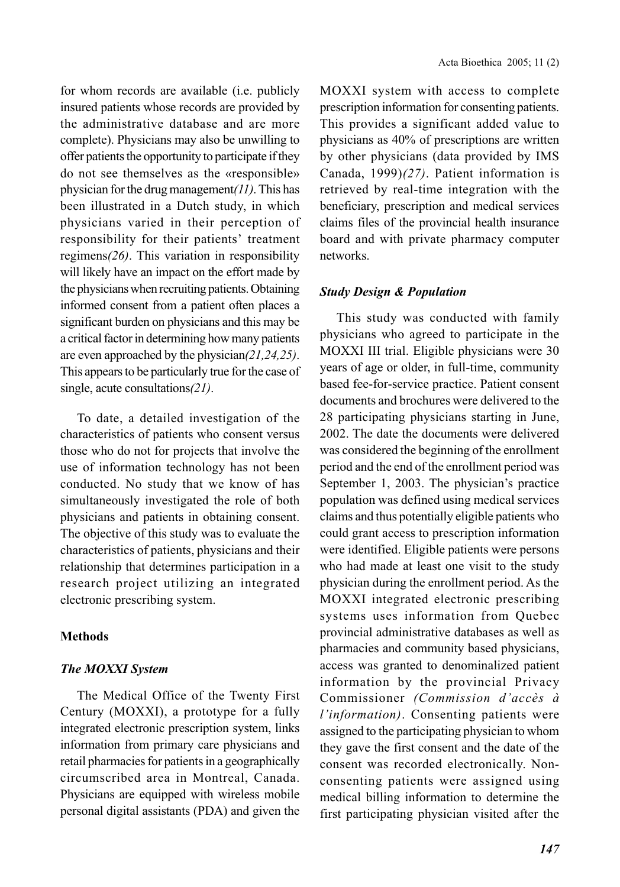for whom records are available (i.e. publicly insured patients whose records are provided by the administrative database and are more complete). Physicians may also be unwilling to offer patients the opportunity to participate if they do not see themselves as the «responsible» physician for the drug management*(11)*. This has been illustrated in a Dutch study, in which physicians varied in their perception of responsibility for their patients' treatment regimens*(26)*. This variation in responsibility will likely have an impact on the effort made by the physicians when recruiting patients. Obtaining informed consent from a patient often places a significant burden on physicians and this may be a critical factor in determining how many patients are even approached by the physician*(21,24,25)*. This appears to be particularly true for the case of single, acute consultations*(21)*.

To date, a detailed investigation of the characteristics of patients who consent versus those who do not for projects that involve the use of information technology has not been conducted. No study that we know of has simultaneously investigated the role of both physicians and patients in obtaining consent. The objective of this study was to evaluate the characteristics of patients, physicians and their relationship that determines participation in a research project utilizing an integrated electronic prescribing system.

## **Methods**

## *The MOXXI System*

The Medical Office of the Twenty First Century (MOXXI), a prototype for a fully integrated electronic prescription system, links information from primary care physicians and retail pharmacies for patients in a geographically circumscribed area in Montreal, Canada. Physicians are equipped with wireless mobile personal digital assistants (PDA) and given the

MOXXI system with access to complete prescription information for consenting patients. This provides a significant added value to physicians as 40% of prescriptions are written by other physicians (data provided by IMS Canada, 1999)*(27)*. Patient information is retrieved by real-time integration with the beneficiary, prescription and medical services claims files of the provincial health insurance board and with private pharmacy computer networks.

### *Study Design & Population*

This study was conducted with family physicians who agreed to participate in the MOXXI III trial. Eligible physicians were 30 years of age or older, in full-time, community based fee-for-service practice. Patient consent documents and brochures were delivered to the 28 participating physicians starting in June, 2002. The date the documents were delivered was considered the beginning of the enrollment period and the end of the enrollment period was September 1, 2003. The physician's practice population was defined using medical services claims and thus potentially eligible patients who could grant access to prescription information were identified. Eligible patients were persons who had made at least one visit to the study physician during the enrollment period. As the MOXXI integrated electronic prescribing systems uses information from Quebec provincial administrative databases as well as pharmacies and community based physicians, access was granted to denominalized patient information by the provincial Privacy Commissioner *(Commission d'accès à l'information)*. Consenting patients were assigned to the participating physician to whom they gave the first consent and the date of the consent was recorded electronically. Nonconsenting patients were assigned using medical billing information to determine the first participating physician visited after the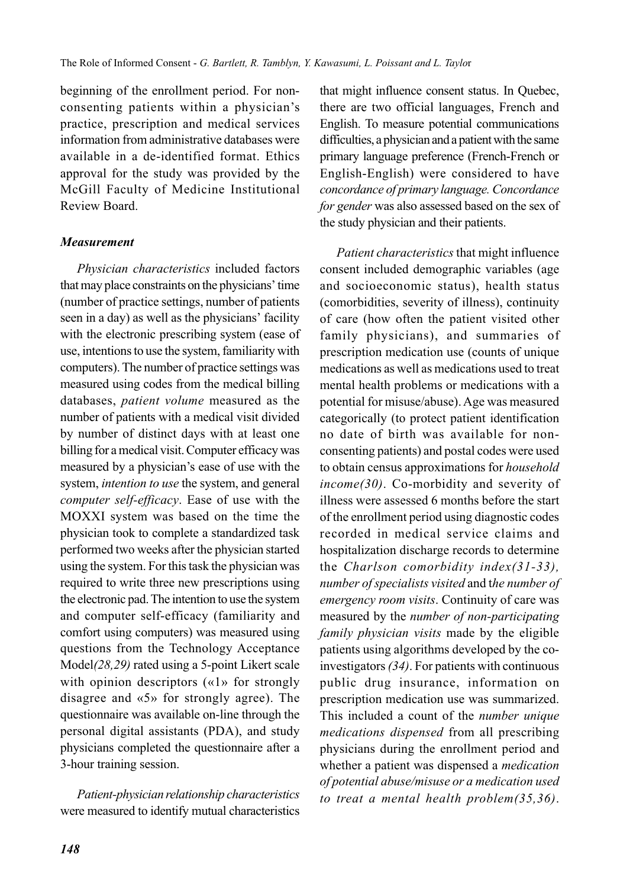beginning of the enrollment period. For nonconsenting patients within a physician's practice, prescription and medical services information from administrative databases were available in a de-identified format. Ethics approval for the study was provided by the McGill Faculty of Medicine Institutional Review Board.

## *Measurement*

*Physician characteristics* included factors that may place constraints on the physicians' time (number of practice settings, number of patients seen in a day) as well as the physicians' facility with the electronic prescribing system (ease of use, intentions to use the system, familiarity with computers). The number of practice settings was measured using codes from the medical billing databases, *patient volume* measured as the number of patients with a medical visit divided by number of distinct days with at least one billing for a medical visit. Computer efficacy was measured by a physician's ease of use with the system, *intention to use* the system, and general *computer self-efficacy*. Ease of use with the MOXXI system was based on the time the physician took to complete a standardized task performed two weeks after the physician started using the system. For this task the physician was required to write three new prescriptions using the electronic pad. The intention to use the system and computer self-efficacy (familiarity and comfort using computers) was measured using questions from the Technology Acceptance Model*(28,29)* rated using a 5-point Likert scale with opinion descriptors («1» for strongly disagree and «5» for strongly agree). The questionnaire was available on-line through the personal digital assistants (PDA), and study physicians completed the questionnaire after a 3-hour training session.

*Patient-physician relationship characteristics* were measured to identify mutual characteristics

that might influence consent status. In Quebec, there are two official languages, French and English. To measure potential communications difficulties, a physician and a patient with the same primary language preference (French-French or English-English) were considered to have *concordance of primary language. Concordance for gender* was also assessed based on the sex of the study physician and their patients.

*Patient characteristics* that might influence consent included demographic variables (age and socioeconomic status), health status (comorbidities, severity of illness), continuity of care (how often the patient visited other family physicians), and summaries of prescription medication use (counts of unique medications as well as medications used to treat mental health problems or medications with a potential for misuse/abuse). Age was measured categorically (to protect patient identification no date of birth was available for nonconsenting patients) and postal codes were used to obtain census approximations for *household income(30)*. Co-morbidity and severity of illness were assessed 6 months before the start of the enrollment period using diagnostic codes recorded in medical service claims and hospitalization discharge records to determine the *Charlson comorbidity index(31-33), number of specialists visited* and t*he number of emergency room visits*. Continuity of care was measured by the *number of non-participating family physician visits* made by the eligible patients using algorithms developed by the coinvestigators *(34)*. For patients with continuous public drug insurance, information on prescription medication use was summarized. This included a count of the *number unique medications dispensed* from all prescribing physicians during the enrollment period and whether a patient was dispensed a *medication of potential abuse/misuse or a medication used to treat a mental health problem(35,36)*.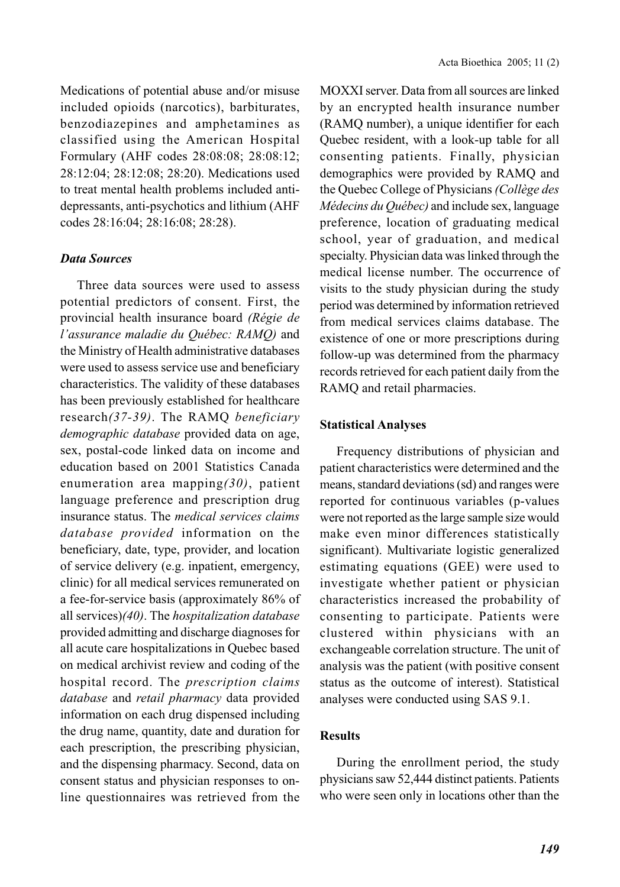Medications of potential abuse and/or misuse included opioids (narcotics), barbiturates, benzodiazepines and amphetamines as classified using the American Hospital Formulary (AHF codes 28:08:08; 28:08:12; 28:12:04; 28:12:08; 28:20). Medications used to treat mental health problems included antidepressants, anti-psychotics and lithium (AHF codes 28:16:04; 28:16:08; 28:28).

### *Data Sources*

Three data sources were used to assess potential predictors of consent. First, the provincial health insurance board *(Régie de l'assurance maladie du Québec: RAMQ)* and the Ministry of Health administrative databases were used to assess service use and beneficiary characteristics. The validity of these databases has been previously established for healthcare research*(37-39)*. The RAMQ *beneficiary demographic database* provided data on age, sex, postal-code linked data on income and education based on 2001 Statistics Canada enumeration area mapping*(30)*, patient language preference and prescription drug insurance status. The *medical services claims database provided* information on the beneficiary, date, type, provider, and location of service delivery (e.g. inpatient, emergency, clinic) for all medical services remunerated on a fee-for-service basis (approximately 86% of all services)*(40)*. The *hospitalization database* provided admitting and discharge diagnoses for all acute care hospitalizations in Quebec based on medical archivist review and coding of the hospital record. The *prescription claims database* and *retail pharmacy* data provided information on each drug dispensed including the drug name, quantity, date and duration for each prescription, the prescribing physician, and the dispensing pharmacy. Second, data on consent status and physician responses to online questionnaires was retrieved from the MOXXI server. Data from all sources are linked by an encrypted health insurance number (RAMQ number), a unique identifier for each Quebec resident, with a look-up table for all consenting patients. Finally, physician demographics were provided by RAMQ and the Quebec College of Physicians *(Collège des Médecins du Québec)* and include sex, language preference, location of graduating medical school, year of graduation, and medical specialty. Physician data was linked through the medical license number. The occurrence of visits to the study physician during the study period was determined by information retrieved from medical services claims database. The existence of one or more prescriptions during follow-up was determined from the pharmacy records retrieved for each patient daily from the RAMQ and retail pharmacies.

#### **Statistical Analyses**

Frequency distributions of physician and patient characteristics were determined and the means, standard deviations (sd) and ranges were reported for continuous variables (p-values were not reported as the large sample size would make even minor differences statistically significant). Multivariate logistic generalized estimating equations (GEE) were used to investigate whether patient or physician characteristics increased the probability of consenting to participate. Patients were clustered within physicians with an exchangeable correlation structure. The unit of analysis was the patient (with positive consent status as the outcome of interest). Statistical analyses were conducted using SAS 9.1.

## **Results**

During the enrollment period, the study physicians saw 52,444 distinct patients. Patients who were seen only in locations other than the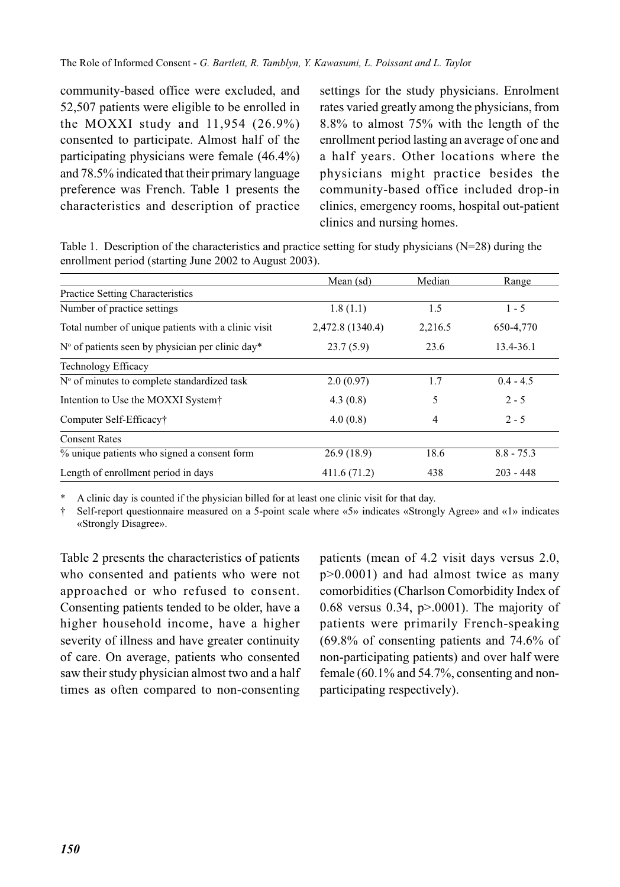community-based office were excluded, and 52,507 patients were eligible to be enrolled in the MOXXI study and  $11,954$  (26.9%) consented to participate. Almost half of the participating physicians were female (46.4%) and 78.5% indicated that their primary language preference was French. Table 1 presents the characteristics and description of practice settings for the study physicians. Enrolment rates varied greatly among the physicians, from 8.8% to almost 75% with the length of the enrollment period lasting an average of one and a half years. Other locations where the physicians might practice besides the community-based office included drop-in clinics, emergency rooms, hospital out-patient clinics and nursing homes.

Table 1. Description of the characteristics and practice setting for study physicians (N=28) during the enrollment period (starting June 2002 to August 2003).

|                                                     | Mean (sd)        | Median  | Range        |
|-----------------------------------------------------|------------------|---------|--------------|
| <b>Practice Setting Characteristics</b>             |                  |         |              |
| Number of practice settings                         | 1.8(1.1)         | 1.5     | $1 - 5$      |
| Total number of unique patients with a clinic visit | 2,472.8 (1340.4) | 2,216.5 | 650-4,770    |
| $No$ of patients seen by physician per clinic day*  | 23.7(5.9)        | 23.6    | 13.4-36.1    |
| <b>Technology Efficacy</b>                          |                  |         |              |
| N° of minutes to complete standardized task         | 2.0(0.97)        | 1.7     | $0.4 - 4.5$  |
| Intention to Use the MOXXI System†                  | 4.3(0.8)         | 5       | $2 - 5$      |
| Computer Self-Efficacy <sup>†</sup>                 | 4.0(0.8)         | 4       | $2 - 5$      |
| <b>Consent Rates</b>                                |                  |         |              |
| $\%$ unique patients who signed a consent form      | 26.9(18.9)       | 18.6    | $8.8 - 75.3$ |
| Length of enrollment period in days                 | 411.6 (71.2)     | 438     | $203 - 448$  |

\* A clinic day is counted if the physician billed for at least one clinic visit for that day.

† Self-report questionnaire measured on a 5-point scale where «5» indicates «Strongly Agree» and «1» indicates «Strongly Disagree».

Table 2 presents the characteristics of patients who consented and patients who were not approached or who refused to consent. Consenting patients tended to be older, have a higher household income, have a higher severity of illness and have greater continuity of care. On average, patients who consented saw their study physician almost two and a half times as often compared to non-consenting

patients (mean of 4.2 visit days versus 2.0, p>0.0001) and had almost twice as many comorbidities (Charlson Comorbidity Index of 0.68 versus 0.34,  $p > .0001$ ). The majority of patients were primarily French-speaking (69.8% of consenting patients and 74.6% of non-participating patients) and over half were female (60.1% and 54.7%, consenting and nonparticipating respectively).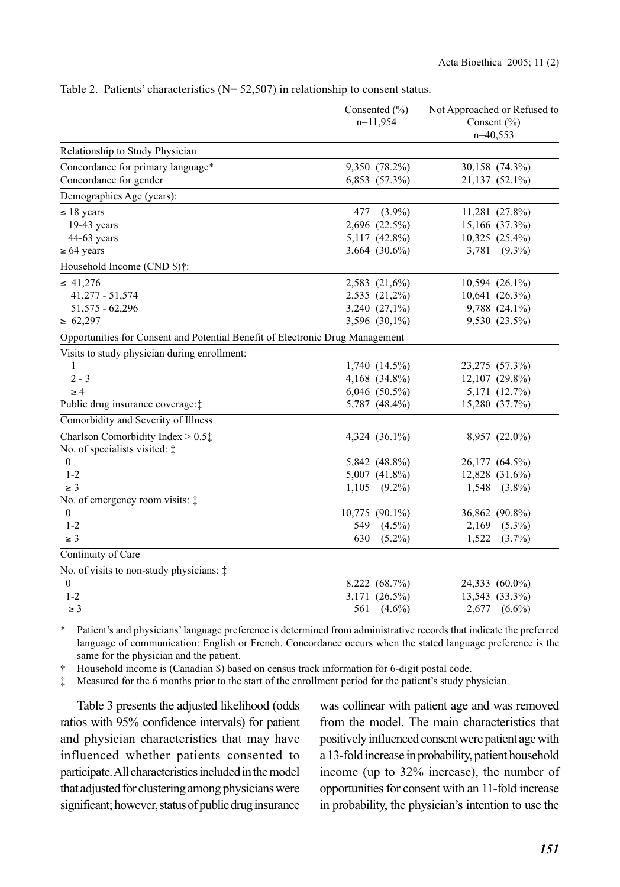|                                                                               | Consented (%)<br>$n=11,954$ |                    | Not Approached or Refused to<br>Consent $(\% )$<br>$n=40,553$ |                     |
|-------------------------------------------------------------------------------|-----------------------------|--------------------|---------------------------------------------------------------|---------------------|
| Relationship to Study Physician                                               |                             |                    |                                                               |                     |
| Concordance for primary language*                                             |                             | 9,350 (78.2%)      |                                                               | 30,158 (74.3%)      |
| Concordance for gender                                                        |                             | 6,853 (57.3%)      |                                                               | 21,137 (52.1%)      |
| Demographics Age (years):                                                     |                             |                    |                                                               |                     |
| $\leq 18$ years                                                               | 477                         | $(3.9\%)$          |                                                               | $11,281$ $(27.8\%)$ |
| $19-43$ years                                                                 |                             | 2,696 (22.5%)      |                                                               | 15,166 (37.3%)      |
| 44-63 years                                                                   |                             | 5,117 (42.8%)      |                                                               | 10,325 (25.4%)      |
| $\geq 64$ years                                                               |                             | 3,664 (30.6%)      | 3,781                                                         | $(9.3\%)$           |
| Household Income (CND \$)†:                                                   |                             |                    |                                                               |                     |
| $\leq 41.276$                                                                 |                             | 2,583 (21,6%)      |                                                               | $10,594$ $(26.1\%)$ |
| $41,277 - 51,574$                                                             |                             | 2,535 (21,2%)      |                                                               | $10,641$ $(26.3\%)$ |
| $51,575 - 62,296$                                                             |                             | 3,240 (27,1%)      |                                                               | 9,788 (24.1%)       |
| $\geq 62,297$                                                                 |                             | 3,596 (30,1%)      |                                                               | 9,530 (23.5%)       |
| Opportunities for Consent and Potential Benefit of Electronic Drug Management |                             |                    |                                                               |                     |
| Visits to study physician during enrollment:                                  |                             |                    |                                                               |                     |
| 1                                                                             |                             | 1,740 (14.5%)      |                                                               | 23,275 (57.3%)      |
| $2 - 3$                                                                       |                             | 4,168 (34.8%)      |                                                               | $12,107$ $(29.8\%)$ |
| $\geq 4$                                                                      |                             | $6,046$ $(50.5\%)$ |                                                               | 5,171 (12.7%)       |
| Public drug insurance coverage: ‡                                             |                             | 5,787 (48.4%)      |                                                               | 15,280 (37.7%)      |
| Comorbidity and Severity of Illness                                           |                             |                    |                                                               |                     |
| Charlson Comorbidity Index $> 0.5$ <sup><math>\dagger</math></sup>            |                             | 4,324 (36.1%)      |                                                               | 8,957 (22.0%)       |
| No. of specialists visited: $\ddagger$                                        |                             |                    |                                                               |                     |
| $\boldsymbol{0}$                                                              |                             | 5,842 (48.8%)      |                                                               | 26,177 (64.5%)      |
| $1 - 2$                                                                       |                             | 5,007 (41.8%)      |                                                               | 12,828 (31.6%)      |
| $\geq 3$                                                                      |                             | $1,105$ $(9.2\%)$  |                                                               | $1,548$ $(3.8\%)$   |
| No. of emergency room visits: $\ddagger$                                      |                             |                    |                                                               |                     |
| $\overline{0}$                                                                | $10,775$ $(90.1\%)$         |                    |                                                               | 36,862 (90.8%)      |
| $1 - 2$                                                                       | 549                         | $(4.5\%)$          | 2,169                                                         | $(5.3\%)$           |
| $\geq 3$                                                                      | 630                         | $(5.2\%)$          | 1,522                                                         | $(3.7\%)$           |
| Continuity of Care                                                            |                             |                    |                                                               |                     |
| No. of visits to non-study physicians: $\ddagger$                             |                             |                    |                                                               |                     |
| $\boldsymbol{0}$                                                              |                             | 8,222 (68.7%)      |                                                               | 24,333 (60.0%)      |
| $1 - 2$                                                                       |                             | 3,171 (26.5%)      |                                                               | 13,543 (33.3%)      |
| $\geq 3$                                                                      | 561                         | $(4.6\%)$          |                                                               | 2,677 (6.6%)        |

Table 2. Patients' characteristics (N= 52,507) in relationship to consent status.

\* Patient's and physicians' language preference is determined from administrative records that indicate the preferred language of communication: English or French. Concordance occurs when the stated language preference is the same for the physician and the patient.

† Household income is (Canadian \$) based on census track information for 6-digit postal code.

‡ Measured for the 6 months prior to the start of the enrollment period for the patient's study physician.

Table 3 presents the adjusted likelihood (odds ratios with 95% confidence intervals) for patient and physician characteristics that may have influenced whether patients consented to participate. All characteristics included in the model that adjusted for clustering among physicians were significant; however, status of public drug insurance was collinear with patient age and was removed from the model. The main characteristics that positively influenced consent were patient age with a 13-fold increase in probability, patient household income (up to 32% increase), the number of opportunities for consent with an 11-fold increase in probability, the physician's intention to use the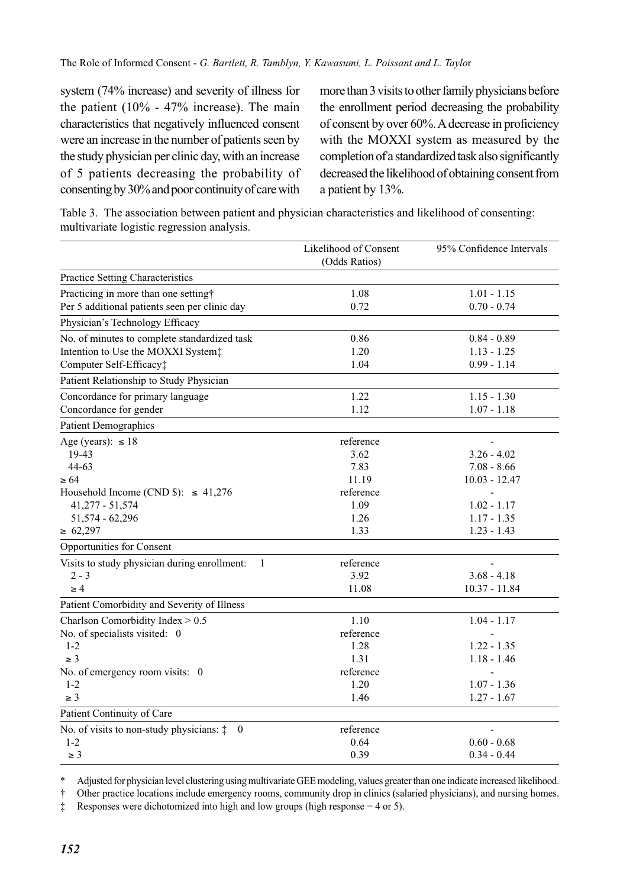system (74% increase) and severity of illness for the patient  $(10\% - 47\%)$  increase). The main characteristics that negatively influenced consent were an increase in the number of patients seen by the study physician per clinic day, with an increase of 5 patients decreasing the probability of consenting by 30% and poor continuity of care with more than 3 visits to other family physicians before the enrollment period decreasing the probability of consent by over 60%. A decrease in proficiency with the MOXXI system as measured by the completion of a standardized task also significantly decreased the likelihood of obtaining consent from a patient by 13%.

| Table 3. The association between patient and physician characteristics and likelihood of consenting: |  |
|------------------------------------------------------------------------------------------------------|--|
| multivariate logistic regression analysis.                                                           |  |

|                                                                     | Likelihood of Consent | 95% Confidence Intervals |
|---------------------------------------------------------------------|-----------------------|--------------------------|
|                                                                     | (Odds Ratios)         |                          |
| Practice Setting Characteristics                                    |                       |                          |
| Practicing in more than one setting†                                | 1.08                  | $1.01 - 1.15$            |
| Per 5 additional patients seen per clinic day                       | 0.72                  | $0.70 - 0.74$            |
| Physician's Technology Efficacy                                     |                       |                          |
| No. of minutes to complete standardized task                        | 0.86                  | $0.84 - 0.89$            |
| Intention to Use the MOXXI System:                                  | 1.20                  | $1.13 - 1.25$            |
| Computer Self-Efficacy‡                                             | 1.04                  | $0.99 - 1.14$            |
| Patient Relationship to Study Physician                             |                       |                          |
| Concordance for primary language                                    | 1.22                  | $1.15 - 1.30$            |
| Concordance for gender                                              | 1.12                  | $1.07 - 1.18$            |
| <b>Patient Demographics</b>                                         |                       |                          |
| Age (years): $\leq 18$                                              | reference             |                          |
| 19-43                                                               | 3.62                  | $3.26 - 4.02$            |
| $44 - 63$                                                           | 7.83                  | $7.08 - 8.66$            |
| $\geq 64$                                                           | 11.19                 | $10.03 - 12.47$          |
| Household Income (CND \$): $\leq$ 41,276                            | reference             | $\overline{a}$           |
| 41,277 - 51,574                                                     | 1.09                  | $1.02 - 1.17$            |
| 51,574 - 62,296                                                     | 1.26                  | $1.17 - 1.35$            |
| $\geq 62,297$                                                       | 1.33                  | $1.23 - 1.43$            |
| Opportunities for Consent                                           |                       |                          |
| Visits to study physician during enrollment:<br>1                   | reference             |                          |
| $2 - 3$                                                             | 3.92                  | $3.68 - 4.18$            |
| $\geq 4$                                                            | 11.08                 | 10.37 - 11.84            |
| Patient Comorbidity and Severity of Illness                         |                       |                          |
| Charlson Comorbidity Index > 0.5                                    | 1.10                  | $1.04 - 1.17$            |
| No. of specialists visited: 0                                       | reference             |                          |
| $1 - 2$                                                             | 1.28                  | $1.22 - 1.35$            |
| $\geq 3$                                                            | 1.31                  | $1.18 - 1.46$            |
| No. of emergency room visits: 0                                     | reference             |                          |
| $1 - 2$                                                             | 1.20                  | $1.07 - 1.36$            |
| $\geq 3$                                                            | 1.46                  | $1.27 - 1.67$            |
| Patient Continuity of Care                                          |                       |                          |
| No. of visits to non-study physicians: $\ddagger$<br>$\overline{0}$ | reference             |                          |
| $1 - 2$                                                             | 0.64                  | $0.60 - 0.68$            |
| $\geq 3$                                                            | 0.39                  | $0.34 - 0.44$            |

\* Adjusted for physician level clustering using multivariate GEE modeling, values greater than one indicate increased likelihood.

† Other practice locations include emergency rooms, community drop in clinics (salaried physicians), and nursing homes.

‡ Responses were dichotomized into high and low groups (high response = 4 or 5).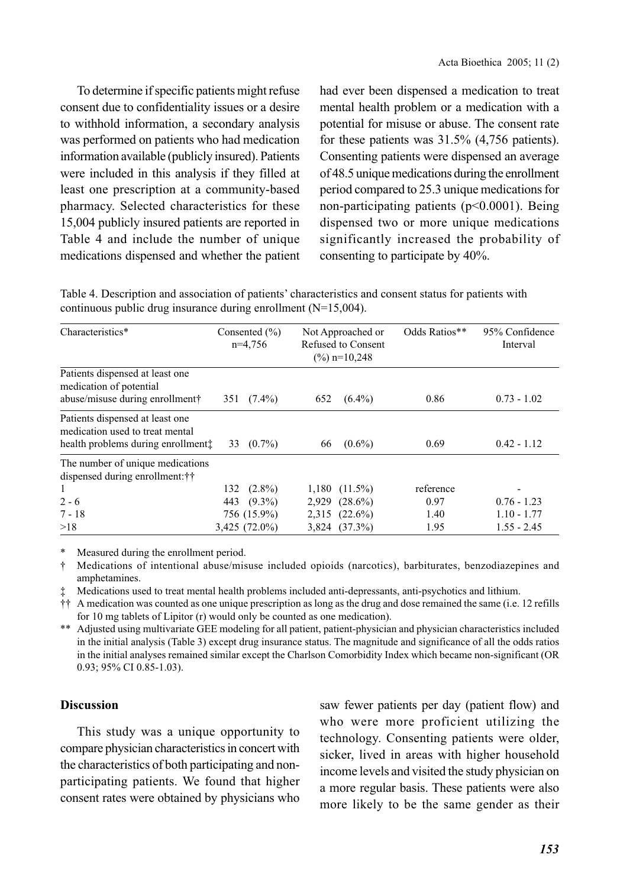To determine if specific patients might refuse consent due to confidentiality issues or a desire to withhold information, a secondary analysis was performed on patients who had medication information available (publicly insured). Patients were included in this analysis if they filled at least one prescription at a community-based pharmacy. Selected characteristics for these 15,004 publicly insured patients are reported in Table 4 and include the number of unique medications dispensed and whether the patient had ever been dispensed a medication to treat mental health problem or a medication with a potential for misuse or abuse. The consent rate for these patients was 31.5% (4,756 patients). Consenting patients were dispensed an average of 48.5 unique medications during the enrollment period compared to 25.3 unique medications for non-participating patients (p<0.0001). Being dispensed two or more unique medications significantly increased the probability of consenting to participate by 40%.

Table 4. Description and association of patients' characteristics and consent status for patients with continuous public drug insurance during enrollment (N=15,004).

| Characteristics*                                                                                         |     | Consented $(\% )$<br>$n=4,756$ | Not Approached or<br>Refused to Consent<br>$(\frac{9}{0})$ n=10,248 |                    | Odds Ratios** | 95% Confidence<br>Interval |
|----------------------------------------------------------------------------------------------------------|-----|--------------------------------|---------------------------------------------------------------------|--------------------|---------------|----------------------------|
| Patients dispensed at least one<br>medication of potential<br>abuse/misuse during enrollment†            |     | $351 \quad (7.4\%)$            | 652                                                                 | $(6.4\%)$          | 0.86          | $0.73 - 1.02$              |
| Patients dispensed at least one<br>medication used to treat mental<br>health problems during enrollment: | 33  | $(0.7\%)$                      | 66                                                                  | $(0.6\%)$          | 0.69          | $0.42 - 1.12$              |
| The number of unique medications<br>dispensed during enrollment: † †                                     |     |                                |                                                                     |                    |               |                            |
| 1                                                                                                        | 132 | $(2.8\%)$                      | 1,180                                                               | $(11.5\%)$         | reference     |                            |
| $2 - 6$                                                                                                  | 443 | $(9.3\%)$                      | 2,929                                                               | $(28.6\%)$         | 0.97          | $0.76 - 1.23$              |
| $7 - 18$                                                                                                 |     | 756 (15.9%)                    |                                                                     | $2,315$ $(22.6\%)$ | 1.40          | $1.10 - 1.77$              |
| >18                                                                                                      |     | $3,425$ (72.0%)                | 3,824                                                               | $(37.3\%)$         | 1.95          | $1.55 - 2.45$              |

\* Measured during the enrollment period.

† Medications of intentional abuse/misuse included opioids (narcotics), barbiturates, benzodiazepines and amphetamines.

‡ Medications used to treat mental health problems included anti-depressants, anti-psychotics and lithium.

†† A medication was counted as one unique prescription as long as the drug and dose remained the same (i.e. 12 refills for 10 mg tablets of Lipitor (r) would only be counted as one medication).

\*\* Adjusted using multivariate GEE modeling for all patient, patient-physician and physician characteristics included in the initial analysis (Table 3) except drug insurance status. The magnitude and significance of all the odds ratios in the initial analyses remained similar except the Charlson Comorbidity Index which became non-significant (OR 0.93; 95% CI 0.85-1.03).

## **Discussion**

This study was a unique opportunity to compare physician characteristics in concert with the characteristics of both participating and nonparticipating patients. We found that higher consent rates were obtained by physicians who saw fewer patients per day (patient flow) and who were more proficient utilizing the technology. Consenting patients were older, sicker, lived in areas with higher household income levels and visited the study physician on a more regular basis. These patients were also more likely to be the same gender as their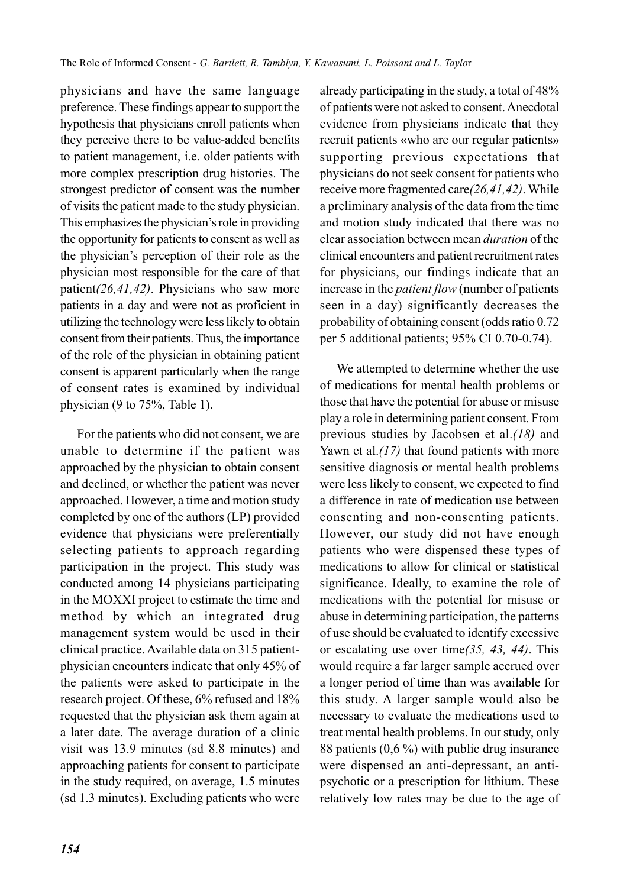physicians and have the same language preference. These findings appear to support the hypothesis that physicians enroll patients when they perceive there to be value-added benefits to patient management, i.e. older patients with more complex prescription drug histories. The strongest predictor of consent was the number of visits the patient made to the study physician. This emphasizes the physician's role in providing the opportunity for patients to consent as well as the physician's perception of their role as the physician most responsible for the care of that patient*(26,41,42)*. Physicians who saw more patients in a day and were not as proficient in utilizing the technology were less likely to obtain consent from their patients. Thus, the importance of the role of the physician in obtaining patient consent is apparent particularly when the range of consent rates is examined by individual physician (9 to 75%, Table 1).

For the patients who did not consent, we are unable to determine if the patient was approached by the physician to obtain consent and declined, or whether the patient was never approached. However, a time and motion study completed by one of the authors (LP) provided evidence that physicians were preferentially selecting patients to approach regarding participation in the project. This study was conducted among 14 physicians participating in the MOXXI project to estimate the time and method by which an integrated drug management system would be used in their clinical practice. Available data on 315 patientphysician encounters indicate that only 45% of the patients were asked to participate in the research project. Of these, 6% refused and 18% requested that the physician ask them again at a later date. The average duration of a clinic visit was 13.9 minutes (sd 8.8 minutes) and approaching patients for consent to participate in the study required, on average, 1.5 minutes (sd 1.3 minutes). Excluding patients who were already participating in the study, a total of 48% of patients were not asked to consent. Anecdotal evidence from physicians indicate that they recruit patients «who are our regular patients» supporting previous expectations that physicians do not seek consent for patients who receive more fragmented care*(26,41,42)*. While a preliminary analysis of the data from the time and motion study indicated that there was no clear association between mean *duration* of the clinical encounters and patient recruitment rates for physicians, our findings indicate that an increase in the *patient flow* (number of patients seen in a day) significantly decreases the probability of obtaining consent (odds ratio 0.72 per 5 additional patients; 95% CI 0.70-0.74).

We attempted to determine whether the use of medications for mental health problems or those that have the potential for abuse or misuse play a role in determining patient consent. From previous studies by Jacobsen et al.*(18)* and Yawn et al.*(17)* that found patients with more sensitive diagnosis or mental health problems were less likely to consent, we expected to find a difference in rate of medication use between consenting and non-consenting patients. However, our study did not have enough patients who were dispensed these types of medications to allow for clinical or statistical significance. Ideally, to examine the role of medications with the potential for misuse or abuse in determining participation, the patterns of use should be evaluated to identify excessive or escalating use over time*(35, 43, 44)*. This would require a far larger sample accrued over a longer period of time than was available for this study. A larger sample would also be necessary to evaluate the medications used to treat mental health problems. In our study, only 88 patients (0,6 %) with public drug insurance were dispensed an anti-depressant, an antipsychotic or a prescription for lithium. These relatively low rates may be due to the age of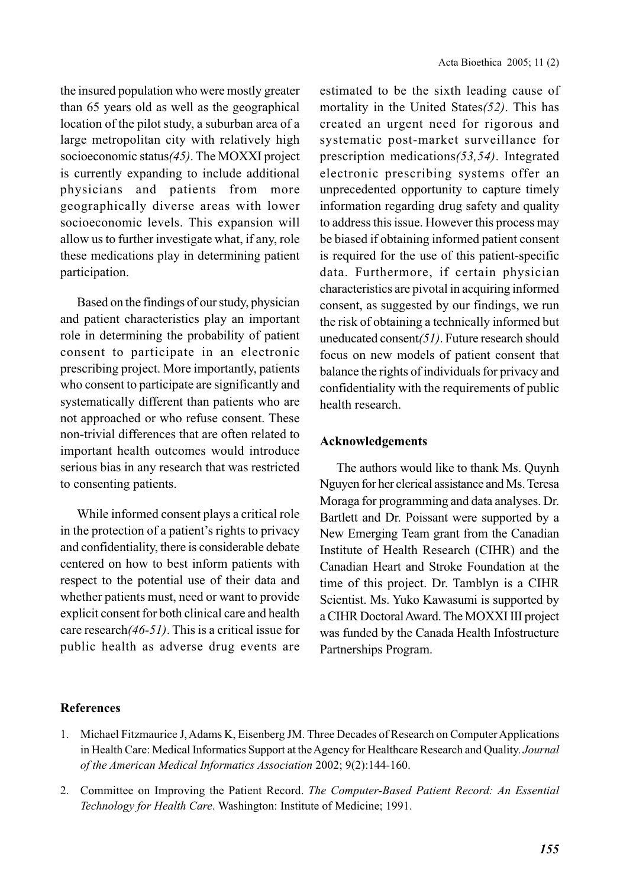the insured population who were mostly greater than 65 years old as well as the geographical location of the pilot study, a suburban area of a large metropolitan city with relatively high socioeconomic status*(45)*. The MOXXI project is currently expanding to include additional physicians and patients from more geographically diverse areas with lower socioeconomic levels. This expansion will allow us to further investigate what, if any, role these medications play in determining patient participation.

Based on the findings of our study, physician and patient characteristics play an important role in determining the probability of patient consent to participate in an electronic prescribing project. More importantly, patients who consent to participate are significantly and systematically different than patients who are not approached or who refuse consent. These non-trivial differences that are often related to important health outcomes would introduce serious bias in any research that was restricted to consenting patients.

While informed consent plays a critical role in the protection of a patient's rights to privacy and confidentiality, there is considerable debate centered on how to best inform patients with respect to the potential use of their data and whether patients must, need or want to provide explicit consent for both clinical care and health care research*(46-51)*. This is a critical issue for public health as adverse drug events are estimated to be the sixth leading cause of mortality in the United States*(52)*. This has created an urgent need for rigorous and systematic post-market surveillance for prescription medications*(53,54)*. Integrated electronic prescribing systems offer an unprecedented opportunity to capture timely information regarding drug safety and quality to address this issue. However this process may be biased if obtaining informed patient consent is required for the use of this patient-specific data. Furthermore, if certain physician characteristics are pivotal in acquiring informed consent, as suggested by our findings, we run the risk of obtaining a technically informed but uneducated consent*(51)*. Future research should focus on new models of patient consent that balance the rights of individuals for privacy and confidentiality with the requirements of public health research.

## **Acknowledgements**

The authors would like to thank Ms. Quynh Nguyen for her clerical assistance and Ms. Teresa Moraga for programming and data analyses. Dr. Bartlett and Dr. Poissant were supported by a New Emerging Team grant from the Canadian Institute of Health Research (CIHR) and the Canadian Heart and Stroke Foundation at the time of this project. Dr. Tamblyn is a CIHR Scientist. Ms. Yuko Kawasumi is supported by a CIHR Doctoral Award. The MOXXI III project was funded by the Canada Health Infostructure Partnerships Program.

## **References**

- 1. Michael Fitzmaurice J, Adams K, Eisenberg JM. Three Decades of Research on Computer Applications in Health Care: Medical Informatics Support at the Agency for Healthcare Research and Quality. *Journal of the American Medical Informatics Association* 2002; 9(2):144-160.
- 2. Committee on Improving the Patient Record. *The Computer-Based Patient Record: An Essential Technology for Health Care*. Washington: Institute of Medicine; 1991.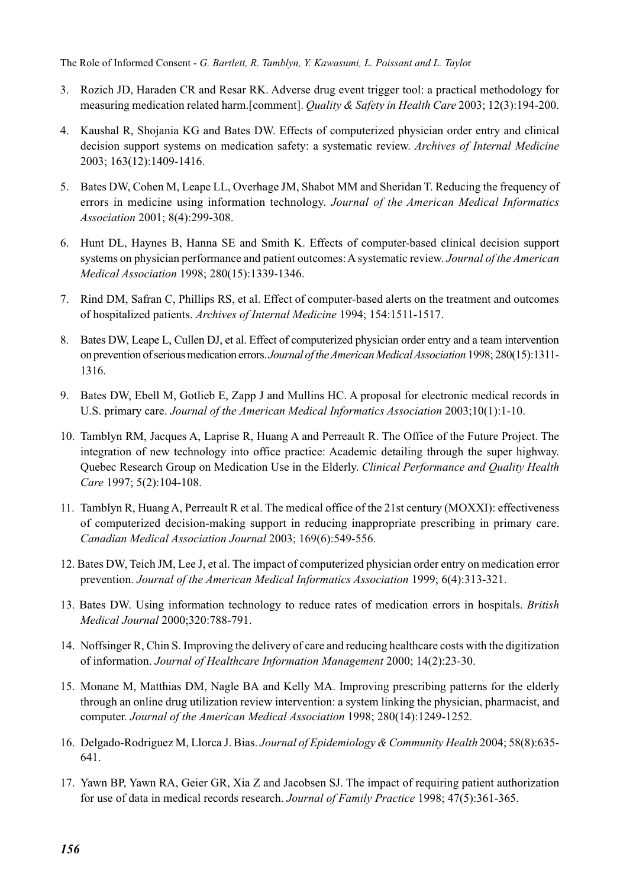The Role of Informed Consent - *G. Bartlett, R. Tamblyn, Y. Kawasumi, L. Poissant and L. Taylo*r

- 3. Rozich JD, Haraden CR and Resar RK. Adverse drug event trigger tool: a practical methodology for measuring medication related harm.[comment]. *Quality & Safety in Health Care* 2003; 12(3):194-200.
- 4. Kaushal R, Shojania KG and Bates DW. Effects of computerized physician order entry and clinical decision support systems on medication safety: a systematic review. *Archives of Internal Medicine* 2003; 163(12):1409-1416.
- 5. Bates DW, Cohen M, Leape LL, Overhage JM, Shabot MM and Sheridan T. Reducing the frequency of errors in medicine using information technology. *Journal of the American Medical Informatics Association* 2001; 8(4):299-308.
- 6. Hunt DL, Haynes B, Hanna SE and Smith K. Effects of computer-based clinical decision support systems on physician performance and patient outcomes: A systematic review. *Journal of the American Medical Association* 1998; 280(15):1339-1346.
- 7. Rind DM, Safran C, Phillips RS, et al. Effect of computer-based alerts on the treatment and outcomes of hospitalized patients. *Archives of Internal Medicine* 1994; 154:1511-1517.
- 8. Bates DW, Leape L, Cullen DJ, et al. Effect of computerized physician order entry and a team intervention on prevention of serious medication errors. *Journal of the American Medical Association* 1998; 280(15):1311- 1316.
- 9. Bates DW, Ebell M, Gotlieb E, Zapp J and Mullins HC. A proposal for electronic medical records in U.S. primary care. *Journal of the American Medical Informatics Association* 2003;10(1):1-10.
- 10. Tamblyn RM, Jacques A, Laprise R, Huang A and Perreault R. The Office of the Future Project. The integration of new technology into office practice: Academic detailing through the super highway. Quebec Research Group on Medication Use in the Elderly. *Clinical Performance and Quality Health Care* 1997; 5(2):104-108.
- 11. Tamblyn R, Huang A, Perreault R et al. The medical office of the 21st century (MOXXI): effectiveness of computerized decision-making support in reducing inappropriate prescribing in primary care. *Canadian Medical Association Journal* 2003; 169(6):549-556.
- 12. Bates DW, Teich JM, Lee J, et al. The impact of computerized physician order entry on medication error prevention. *Journal of the American Medical Informatics Association* 1999; 6(4):313-321.
- 13. Bates DW. Using information technology to reduce rates of medication errors in hospitals. *British Medical Journal* 2000;320:788-791.
- 14. Noffsinger R, Chin S. Improving the delivery of care and reducing healthcare costs with the digitization of information. *Journal of Healthcare Information Management* 2000; 14(2):23-30.
- 15. Monane M, Matthias DM, Nagle BA and Kelly MA. Improving prescribing patterns for the elderly through an online drug utilization review intervention: a system linking the physician, pharmacist, and computer. *Journal of the American Medical Association* 1998; 280(14):1249-1252.
- 16. Delgado-Rodriguez M, Llorca J. Bias. *Journal of Epidemiology & Community Health* 2004; 58(8):635- 641.
- 17. Yawn BP, Yawn RA, Geier GR, Xia Z and Jacobsen SJ. The impact of requiring patient authorization for use of data in medical records research. *Journal of Family Practice* 1998; 47(5):361-365.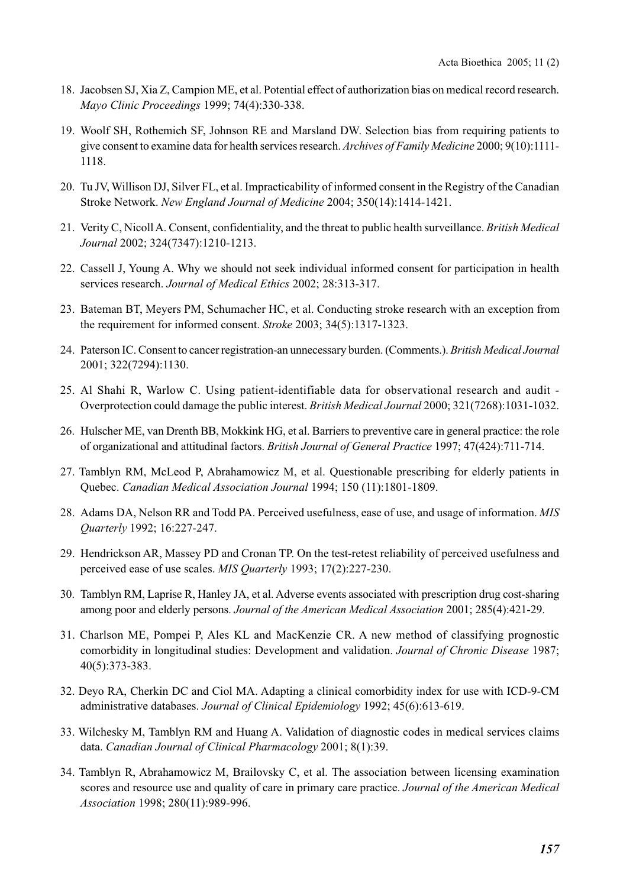- 18. Jacobsen SJ, Xia Z, Campion ME, et al. Potential effect of authorization bias on medical record research. *Mayo Clinic Proceedings* 1999; 74(4):330-338.
- 19. Woolf SH, Rothemich SF, Johnson RE and Marsland DW. Selection bias from requiring patients to give consent to examine data for health services research. *Archives of Family Medicine* 2000; 9(10):1111- 1118.
- 20. Tu JV, Willison DJ, Silver FL, et al. Impracticability of informed consent in the Registry of the Canadian Stroke Network. *New England Journal of Medicine* 2004; 350(14):1414-1421.
- 21. Verity C, Nicoll A. Consent, confidentiality, and the threat to public health surveillance. *British Medical Journal* 2002; 324(7347):1210-1213.
- 22. Cassell J, Young A. Why we should not seek individual informed consent for participation in health services research. *Journal of Medical Ethics* 2002; 28:313-317.
- 23. Bateman BT, Meyers PM, Schumacher HC, et al. Conducting stroke research with an exception from the requirement for informed consent. *Stroke* 2003; 34(5):1317-1323.
- 24. Paterson IC. Consent to cancer registration-an unnecessary burden. (Comments.). *British Medical Journal* 2001; 322(7294):1130.
- 25. Al Shahi R, Warlow C. Using patient-identifiable data for observational research and audit Overprotection could damage the public interest. *British Medical Journal* 2000; 321(7268):1031-1032.
- 26. Hulscher ME, van Drenth BB, Mokkink HG, et al. Barriers to preventive care in general practice: the role of organizational and attitudinal factors. *British Journal of General Practice* 1997; 47(424):711-714.
- 27. Tamblyn RM, McLeod P, Abrahamowicz M, et al. Questionable prescribing for elderly patients in Quebec. *Canadian Medical Association Journal* 1994; 150 (11):1801-1809.
- 28. Adams DA, Nelson RR and Todd PA. Perceived usefulness, ease of use, and usage of information. *MIS Quarterly* 1992; 16:227-247.
- 29. Hendrickson AR, Massey PD and Cronan TP. On the test-retest reliability of perceived usefulness and perceived ease of use scales. *MIS Quarterly* 1993; 17(2):227-230.
- 30. Tamblyn RM, Laprise R, Hanley JA, et al. Adverse events associated with prescription drug cost-sharing among poor and elderly persons. *Journal of the American Medical Association* 2001; 285(4):421-29.
- 31. Charlson ME, Pompei P, Ales KL and MacKenzie CR. A new method of classifying prognostic comorbidity in longitudinal studies: Development and validation. *Journal of Chronic Disease* 1987; 40(5):373-383.
- 32. Deyo RA, Cherkin DC and Ciol MA. Adapting a clinical comorbidity index for use with ICD-9-CM administrative databases. *Journal of Clinical Epidemiology* 1992; 45(6):613-619.
- 33. Wilchesky M, Tamblyn RM and Huang A. Validation of diagnostic codes in medical services claims data. *Canadian Journal of Clinical Pharmacology* 2001; 8(1):39.
- 34. Tamblyn R, Abrahamowicz M, Brailovsky C, et al. The association between licensing examination scores and resource use and quality of care in primary care practice. *Journal of the American Medical Association* 1998; 280(11):989-996.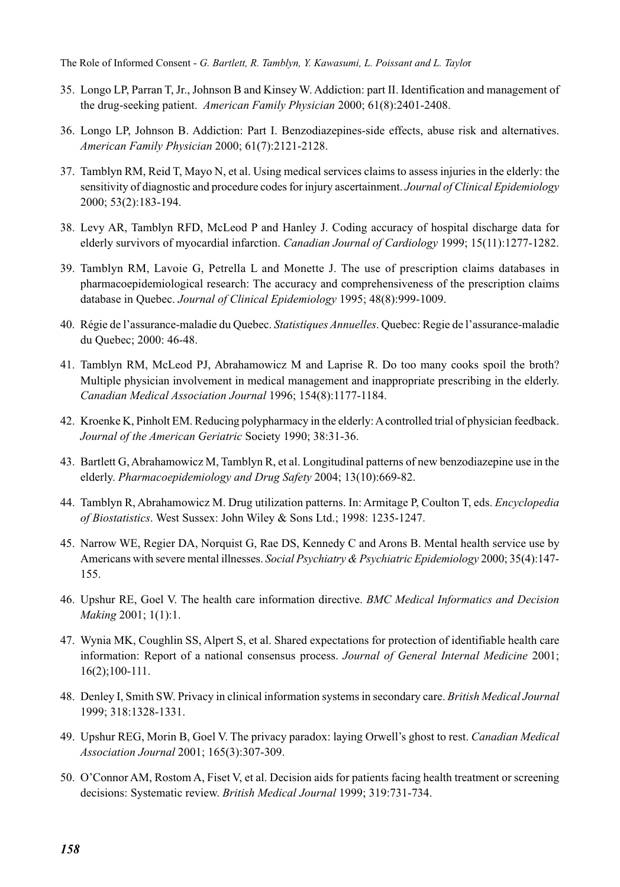The Role of Informed Consent - *G. Bartlett, R. Tamblyn, Y. Kawasumi, L. Poissant and L. Taylo*r

- 35. Longo LP, Parran T, Jr., Johnson B and Kinsey W. Addiction: part II. Identification and management of the drug-seeking patient. *American Family Physician* 2000; 61(8):2401-2408.
- 36. Longo LP, Johnson B. Addiction: Part I. Benzodiazepines-side effects, abuse risk and alternatives. *American Family Physician* 2000; 61(7):2121-2128.
- 37. Tamblyn RM, Reid T, Mayo N, et al. Using medical services claims to assess injuries in the elderly: the sensitivity of diagnostic and procedure codes for injury ascertainment. *Journal of Clinical Epidemiology* 2000; 53(2):183-194.
- 38. Levy AR, Tamblyn RFD, McLeod P and Hanley J. Coding accuracy of hospital discharge data for elderly survivors of myocardial infarction. *Canadian Journal of Cardiology* 1999; 15(11):1277-1282.
- 39. Tamblyn RM, Lavoie G, Petrella L and Monette J. The use of prescription claims databases in pharmacoepidemiological research: The accuracy and comprehensiveness of the prescription claims database in Quebec. *Journal of Clinical Epidemiology* 1995; 48(8):999-1009.
- 40. Régie de l'assurance-maladie du Quebec. *Statistiques Annuelles*. Quebec: Regie de l'assurance-maladie du Quebec; 2000: 46-48.
- 41. Tamblyn RM, McLeod PJ, Abrahamowicz M and Laprise R. Do too many cooks spoil the broth? Multiple physician involvement in medical management and inappropriate prescribing in the elderly. *Canadian Medical Association Journal* 1996; 154(8):1177-1184.
- 42. Kroenke K, Pinholt EM. Reducing polypharmacy in the elderly: A controlled trial of physician feedback. *Journal of the American Geriatric* Society 1990; 38:31-36.
- 43. Bartlett G, Abrahamowicz M, Tamblyn R, et al. Longitudinal patterns of new benzodiazepine use in the elderly. *Pharmacoepidemiology and Drug Safety* 2004; 13(10):669-82.
- 44. Tamblyn R, Abrahamowicz M. Drug utilization patterns. In: Armitage P, Coulton T, eds. *Encyclopedia of Biostatistics*. West Sussex: John Wiley & Sons Ltd.; 1998: 1235-1247.
- 45. Narrow WE, Regier DA, Norquist G, Rae DS, Kennedy C and Arons B. Mental health service use by Americans with severe mental illnesses. *Social Psychiatry & Psychiatric Epidemiology* 2000; 35(4):147- 155.
- 46. Upshur RE, Goel V. The health care information directive. *BMC Medical Informatics and Decision Making* 2001; 1(1):1.
- 47. Wynia MK, Coughlin SS, Alpert S, et al. Shared expectations for protection of identifiable health care information: Report of a national consensus process. *Journal of General Internal Medicine* 2001; 16(2);100-111.
- 48. Denley I, Smith SW. Privacy in clinical information systems in secondary care. *British Medical Journal* 1999; 318:1328-1331.
- 49. Upshur REG, Morin B, Goel V. The privacy paradox: laying Orwell's ghost to rest. *Canadian Medical Association Journal* 2001; 165(3):307-309.
- 50. O'Connor AM, Rostom A, Fiset V, et al. Decision aids for patients facing health treatment or screening decisions: Systematic review. *British Medical Journal* 1999; 319:731-734.